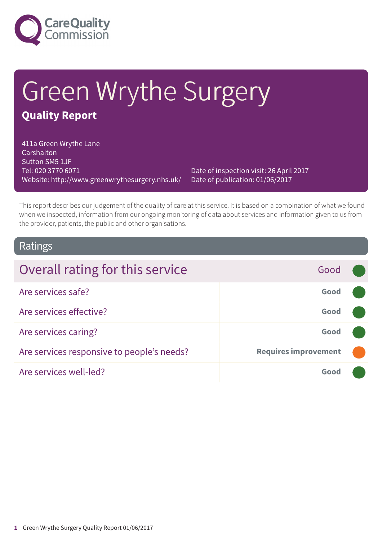

# Green Wrythe Surgery **Quality Report**

411a Green Wrythe Lane Carshalton Sutton SM5 1JF Tel: 020 3770 6071 Website: http://www.greenwrythesurgery.nhs.uk/

Date of inspection visit: 26 April 2017 Date of publication: 01/06/2017

This report describes our judgement of the quality of care at this service. It is based on a combination of what we found when we inspected, information from our ongoing monitoring of data about services and information given to us from the provider, patients, the public and other organisations.

### Ratings

| Overall rating for this service            | Good                        |  |
|--------------------------------------------|-----------------------------|--|
| Are services safe?                         | Good                        |  |
| Are services effective?                    | Good                        |  |
| Are services caring?                       | Good                        |  |
| Are services responsive to people's needs? | <b>Requires improvement</b> |  |
| Are services well-led?                     | Good                        |  |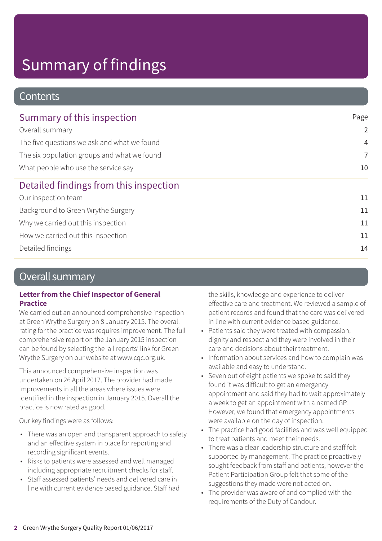### **Contents**

| Summary of this inspection                                                         | Page           |
|------------------------------------------------------------------------------------|----------------|
| Overall summary                                                                    | $\overline{2}$ |
| The five questions we ask and what we found                                        | $\overline{4}$ |
| The six population groups and what we found<br>What people who use the service say | $\overline{7}$ |
|                                                                                    | 10             |
| Detailed findings from this inspection                                             |                |
| Our inspection team                                                                | 11             |
| Background to Green Wrythe Surgery                                                 | 11             |
| Why we carried out this inspection                                                 | 11             |
| How we carried out this inspection                                                 | 11             |
| Detailed findings                                                                  | 14             |
|                                                                                    |                |

### Overall summary

### **Letter from the Chief Inspector of General Practice**

We carried out an announced comprehensive inspection at Green Wrythe Surgery on 8 January 2015. The overall rating for the practice was requires improvement. The full comprehensive report on the January 2015 inspection can be found by selecting the 'all reports' link for Green Wrythe Surgery on our website at www.cqc.org.uk.

This announced comprehensive inspection was undertaken on 26 April 2017. The provider had made improvements in all the areas where issues were identified in the inspection in January 2015. Overall the practice is now rated as good.

Our key findings were as follows:

- There was an open and transparent approach to safety and an effective system in place for reporting and recording significant events.
- Risks to patients were assessed and well managed including appropriate recruitment checks for staff.
- Staff assessed patients' needs and delivered care in line with current evidence based guidance. Staff had

the skills, knowledge and experience to deliver effective care and treatment. We reviewed a sample of patient records and found that the care was delivered in line with current evidence based guidance.

- Patients said they were treated with compassion, dignity and respect and they were involved in their care and decisions about their treatment.
- Information about services and how to complain was available and easy to understand.
- Seven out of eight patients we spoke to said they found it was difficult to get an emergency appointment and said they had to wait approximately a week to get an appointment with a named GP. However, we found that emergency appointments were available on the day of inspection.
- The practice had good facilities and was well equipped to treat patients and meet their needs.
- There was a clear leadership structure and staff felt supported by management. The practice proactively sought feedback from staff and patients, however the Patient Participation Group felt that some of the suggestions they made were not acted on.
- The provider was aware of and complied with the requirements of the Duty of Candour.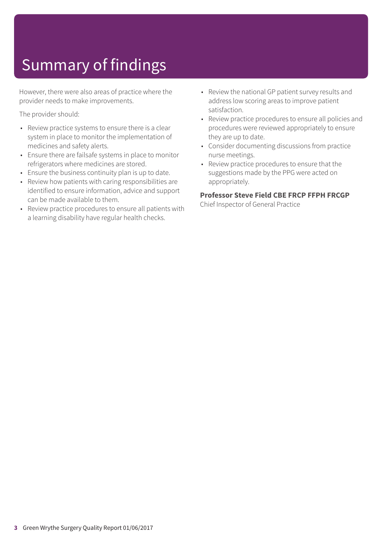However, there were also areas of practice where the provider needs to make improvements.

The provider should:

- Review practice systems to ensure there is a clear system in place to monitor the implementation of medicines and safety alerts.
- Ensure there are failsafe systems in place to monitor refrigerators where medicines are stored.
- Ensure the business continuity plan is up to date.
- Review how patients with caring responsibilities are identified to ensure information, advice and support can be made available to them.
- Review practice procedures to ensure all patients with a learning disability have regular health checks.
- Review the national GP patient survey results and address low scoring areas to improve patient satisfaction.
- Review practice procedures to ensure all policies and procedures were reviewed appropriately to ensure they are up to date.
- Consider documenting discussions from practice nurse meetings.
- Review practice procedures to ensure that the suggestions made by the PPG were acted on appropriately.

### **Professor Steve Field CBE FRCP FFPH FRCGP**

Chief Inspector of General Practice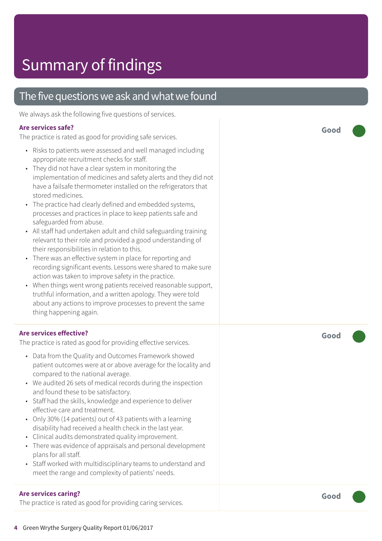### The five questions we ask and what we found

We always ask the following five questions of services.

### **Ar e services safe ?**

The practic e is rated as good for providing saf e services.

- Risks t o patients wer e assessed and well managed including appropriat e recruitment checks for staff.
- They did not have a clear system in monitoring the implementation of medicines and saf ety alerts and the y did not have a failsafe thermometer installed on the refrigerators that stored medicines.
- The practic e had clearly defined and embedded systems, processes and practices in plac e t o keep patients saf e and saf eguarded from abuse.
- All staff had undertaken adult and child saf eguarding training rele vant t o their role and provided a good understanding of their responsibilities in relation to this.
- Ther e was an effective system in plac e for reporting and recording significant events. Lessons were shared to make sure action was taken t o improve saf ety in the practice.
- When things went wrong patients received reasonable support, truthful information, and a written apology. The y wer e told about any actions t o improve processes t o pr event the same thing happening again.

### **Ar e services effective ?**

The practic e is rated as good for providing effective services.

- Dat a from the Quality and Out comes F ramework showed patient out comes wer e at or above averag e for the locality and compared t o the national average.
- We audited 26 sets of medical records during the inspection and found these t o be satisfactor y.
- Staff had the skills, knowledge and experienc e t o deliver effective care and treatment.
- Only 30% (14 patients) out of 43 patients with a learning disability had received a health check in the last year.
- Clinical audits demonstrated quality improvement.
- There was evidence of appraisals and personal development plans for all staff.
- Staff worked with multidisciplinary teams to understand and mee t the rang e and complexity of patients' needs.

### **Ar e services caring ?**

The practice is rated as good for providing caring services.

**Good –––**

**Good –––**

**Good –––**

**4** Green W rythe Sur gery Quality Report 01/06/2017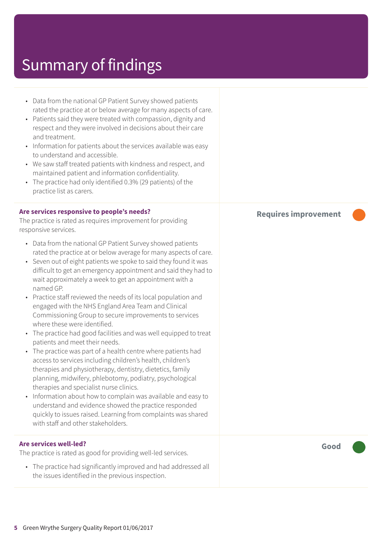| • Data from the national GP Patient Survey showed patients<br>rated the practice at or below average for many aspects of care.<br>Patients said they were treated with compassion, dignity and<br>respect and they were involved in decisions about their care<br>and treatment.<br>Information for patients about the services available was easy<br>$\bullet$<br>to understand and accessible.<br>• We saw staff treated patients with kindness and respect, and<br>maintained patient and information confidentiality.<br>• The practice had only identified 0.3% (29 patients) of the<br>practice list as carers.                                                                                                                                                                                                                                                                                                                                                                                                                                                                                                                                                                                                                   |                             |
|-----------------------------------------------------------------------------------------------------------------------------------------------------------------------------------------------------------------------------------------------------------------------------------------------------------------------------------------------------------------------------------------------------------------------------------------------------------------------------------------------------------------------------------------------------------------------------------------------------------------------------------------------------------------------------------------------------------------------------------------------------------------------------------------------------------------------------------------------------------------------------------------------------------------------------------------------------------------------------------------------------------------------------------------------------------------------------------------------------------------------------------------------------------------------------------------------------------------------------------------|-----------------------------|
| Are services responsive to people's needs?<br>The practice is rated as requires improvement for providing<br>responsive services.                                                                                                                                                                                                                                                                                                                                                                                                                                                                                                                                                                                                                                                                                                                                                                                                                                                                                                                                                                                                                                                                                                       | <b>Requires improvement</b> |
| • Data from the national GP Patient Survey showed patients<br>rated the practice at or below average for many aspects of care.<br>Seven out of eight patients we spoke to said they found it was<br>$\bullet$<br>difficult to get an emergency appointment and said they had to<br>wait approximately a week to get an appointment with a<br>named GP.<br>Practice staff reviewed the needs of its local population and<br>engaged with the NHS England Area Team and Clinical<br>Commissioning Group to secure improvements to services<br>where these were identified.<br>The practice had good facilities and was well equipped to treat<br>$\bullet$<br>patients and meet their needs.<br>The practice was part of a health centre where patients had<br>$\bullet$<br>access to services including children's health, children's<br>therapies and physiotherapy, dentistry, dietetics, family<br>planning, midwifery, phlebotomy, podiatry, psychological<br>therapies and specialist nurse clinics.<br>Information about how to complain was available and easy to<br>understand and evidence showed the practice responded<br>quickly to issues raised. Learning from complaints was shared<br>with staff and other stakeholders. |                             |
| <b>Are services well-led?</b><br>The practice is rated as good for providing well-led services.                                                                                                                                                                                                                                                                                                                                                                                                                                                                                                                                                                                                                                                                                                                                                                                                                                                                                                                                                                                                                                                                                                                                         | Good                        |
| • The practice had significantly improved and had addressed all                                                                                                                                                                                                                                                                                                                                                                                                                                                                                                                                                                                                                                                                                                                                                                                                                                                                                                                                                                                                                                                                                                                                                                         |                             |

the issues identified in the previous inspection.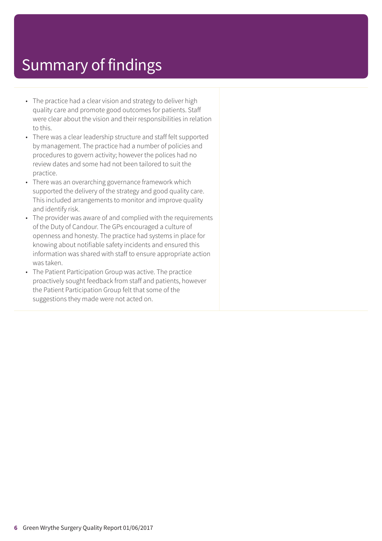- The practice had a clear vision and strategy to deliver high quality care and promote good outcomes for patients. Staff were clear about the vision and their responsibilities in relation to this.
- There was a clear leadership structure and staff felt supported by management. The practice had a number of policies and procedures to govern activity; however the polices had no review dates and some had not been tailored to suit the practice.
- There was an overarching governance framework which supported the delivery of the strategy and good quality care. This included arrangements to monitor and improve quality and identify risk.
- The provider was aware of and complied with the requirements of the Duty of Candour. The GPs encouraged a culture of openness and honesty. The practice had systems in place for knowing about notifiable safety incidents and ensured this information was shared with staff to ensure appropriate action was taken.
- The Patient Participation Group was active. The practice proactively sought feedback from staff and patients, however the Patient Participation Group felt that some of the suggestions they made were not acted on.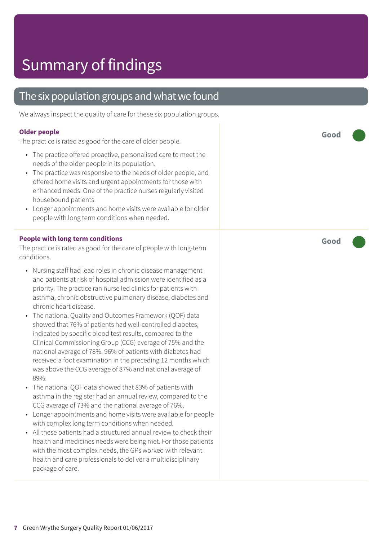### The six population groups and what we found

We always inspect the quality of care for these six population groups.

#### **Older people**

The practice is rated as good for the care of older people.

- The practice offered proactive, personalised care to meet the needs of the older people in its population.
- The practice was responsive to the needs of older people, and offered home visits and urgent appointments for those with enhanced needs. One of the practice nurses regularly visited housebound patients.
- Longer appointments and home visits were available for older people with long term conditions when needed.

#### **People with long term conditions**

The practice is rated as good for the care of people with long-term conditions.

- Nursing staff had lead roles in chronic disease management and patients at risk of hospital admission were identified as a priority. The practice ran nurse led clinics for patients with asthma, chronic obstructive pulmonary disease, diabetes and chronic heart disease.
- The national Quality and Outcomes Framework (QOF) data showed that 76% of patients had well-controlled diabetes, indicated by specific blood test results, compared to the Clinical Commissioning Group (CCG) average of 75% and the national average of 78%. 96% of patients with diabetes had received a foot examination in the preceding 12 months which was above the CCG average of 87% and national average of 89%.
- The national QOF data showed that 83% of patients with asthma in the register had an annual review, compared to the CCG average of 73% and the national average of 76%.
- Longer appointments and home visits were available for people with complex long term conditions when needed.
- All these patients had a structured annual review to check their health and medicines needs were being met. For those patients with the most complex needs, the GPs worked with relevant health and care professionals to deliver a multidisciplinary package of care.

**Good –––**

**Good –––**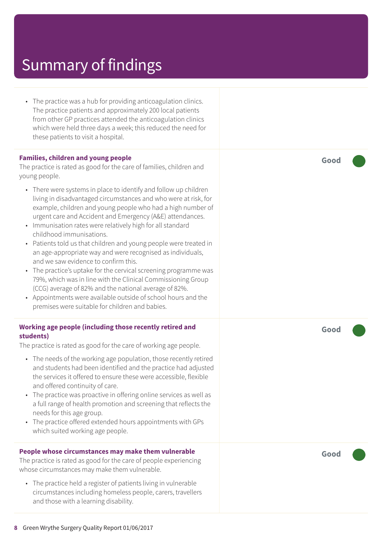• The practice was a hub for providing anticoagulation clinics. The practice patients and approximately 200 local patients from other GP practices attended the anticoagulation clinics which were held three days a week; this reduced the need for these patients to visit a hospital.

#### **Families, children and young people**

The practice is rated as good for the care of families, children and young people.

- There were systems in place to identify and follow up children living in disadvantaged circumstances and who were at risk, for example, children and young people who had a high number of urgent care and Accident and Emergency (A&E) attendances.
- Immunisation rates were relatively high for all standard childhood immunisations.
- Patients told us that children and young people were treated in an age-appropriate way and were recognised as individuals, and we saw evidence to confirm this.
- The practice's uptake for the cervical screening programme was 79%, which was in line with the Clinical Commissioning Group (CCG) average of 82% and the national average of 82%.
- Appointments were available outside of school hours and the premises were suitable for children and babies.

#### **Working age people (including those recently retired and students)**

The practice is rated as good for the care of working age people.

- The needs of the working age population, those recently retired and students had been identified and the practice had adjusted the services it offered to ensure these were accessible, flexible and offered continuity of care.
- The practice was proactive in offering online services as well as a full range of health promotion and screening that reflects the needs for this age group.
- The practice offered extended hours appointments with GPs which suited working age people.

#### **People whose circumstances may make them vulnerable**

The practice is rated as good for the care of people experiencing whose circumstances may make them vulnerable.

• The practice held a register of patients living in vulnerable circumstances including homeless people, carers, travellers and those with a learning disability.

**Good –––**

**Good –––**

**Good –––**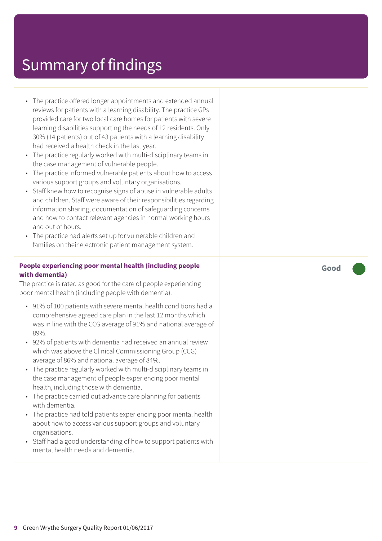- The practice offered longer appointments and extended annual reviews for patients with a learning disability. The practice GPs provided care for two local care homes for patients with severe learning disabilities supporting the needs of 12 residents. Only 30% (14 patients) out of 43 patients with a learning disability had received a health check in the last year.
- The practice regularly worked with multi-disciplinary teams in the case management of vulnerable people.
- The practice informed vulnerable patients about how to access various support groups and voluntary organisations.
- Staff knew how to recognise signs of abuse in vulnerable adults and children. Staff were aware of their responsibilities regarding information sharing, documentation of safeguarding concerns and how to contact relevant agencies in normal working hours and out of hours.
- The practice had alerts set up for vulnerable children and families on their electronic patient management system.

### **People experiencing poor mental health (including people with dementia)**

The practice is rated as good for the care of people experiencing poor mental health (including people with dementia).

- 91% of 100 patients with severe mental health conditions had a comprehensive agreed care plan in the last 12 months which was in line with the CCG average of 91% and national average of 89%.
- 92% of patients with dementia had received an annual review which was above the Clinical Commissioning Group (CCG) average of 86% and national average of 84%.
- The practice regularly worked with multi-disciplinary teams in the case management of people experiencing poor mental health, including those with dementia.
- The practice carried out advance care planning for patients with dementia.
- The practice had told patients experiencing poor mental health about how to access various support groups and voluntary organisations.
- Staff had a good understanding of how to support patients with mental health needs and dementia.

**Good –––**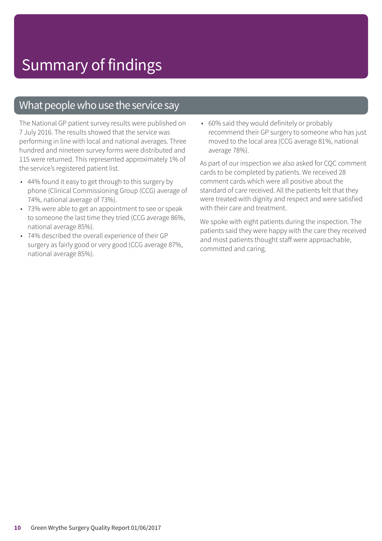### What people who use the service say

The National GP patient survey results were published on 7 July 2016. The results showed that the service was performing in line with local and national averages. Three hundred and nineteen survey forms were distributed and 115 were returned. This represented approximately 1% of the service's registered patient list.

- 44% found it easy to get through to this surgery by phone (Clinical Commissioning Group (CCG) average of 74%, national average of 73%).
- 73% were able to get an appointment to see or speak to someone the last time they tried (CCG average 86%, national average 85%).
- 74% described the overall experience of their GP surgery as fairly good or very good (CCG average 87%, national average 85%).

• 60% said they would definitely or probably recommend their GP surgery to someone who has just moved to the local area (CCG average 81%, national average 78%).

As part of our inspection we also asked for CQC comment cards to be completed by patients. We received 28 comment cards which were all positive about the standard of care received. All the patients felt that they were treated with dignity and respect and were satisfied with their care and treatment.

We spoke with eight patients during the inspection. The patients said they were happy with the care they received and most patients thought staff were approachable, committed and caring.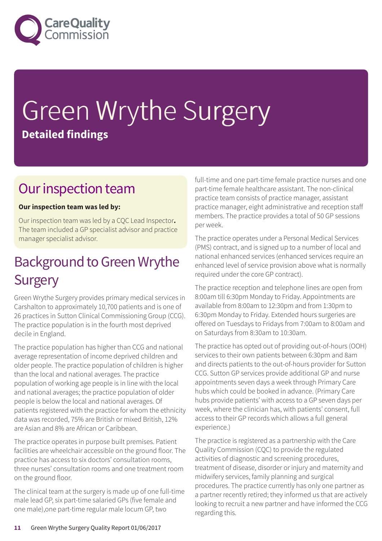

# Green Wrythe Surgery **Detailed findings**

### Our inspection team

### **Our inspection team was led by:**

Our inspection team was led by a CQC Lead Inspector**.** The team included a GP specialist advisor and practice manager specialist advisor.

## Background to Green Wrythe **Surgery**

Green Wrythe Surgery provides primary medical services in Carshalton to approximately 10,700 patients and is one of 26 practices in Sutton Clinical Commissioning Group (CCG). The practice population is in the fourth most deprived decile in England.

The practice population has higher than CCG and national average representation of income deprived children and older people. The practice population of children is higher than the local and national averages. The practice population of working age people is in line with the local and national averages; the practice population of older people is below the local and national averages. Of patients registered with the practice for whom the ethnicity data was recorded, 75% are British or mixed British, 12% are Asian and 8% are African or Caribbean.

The practice operates in purpose built premises. Patient facilities are wheelchair accessible on the ground floor. The practice has access to six doctors' consultation rooms, three nurses' consultation rooms and one treatment room on the ground floor.

The clinical team at the surgery is made up of one full-time male lead GP, six part-time salaried GPs (five female and one male),one part-time regular male locum GP, two

full-time and one part-time female practice nurses and one part-time female healthcare assistant. The non-clinical practice team consists of practice manager, assistant practice manager, eight administrative and reception staff members. The practice provides a total of 50 GP sessions per week.

The practice operates under a Personal Medical Services (PMS) contract, and is signed up to a number of local and national enhanced services (enhanced services require an enhanced level of service provision above what is normally required under the core GP contract).

The practice reception and telephone lines are open from 8:00am till 6:30pm Monday to Friday. Appointments are available from 8:00am to 12:30pm and from 1:30pm to 6:30pm Monday to Friday. Extended hours surgeries are offered on Tuesdays to Fridays from 7:00am to 8:00am and on Saturdays from 8:30am to 10:30am.

The practice has opted out of providing out-of-hours (OOH) services to their own patients between 6:30pm and 8am and directs patients to the out-of-hours provider for Sutton CCG. Sutton GP services provide additional GP and nurse appointments seven days a week through Primary Care hubs which could be booked in advance. (Primary Care hubs provide patients' with access to a GP seven days per week, where the clinician has, with patients' consent, full access to their GP records which allows a full general experience.)

The practice is registered as a partnership with the Care Quality Commission (CQC) to provide the regulated activities of diagnostic and screening procedures, treatment of disease, disorder or injury and maternity and midwifery services, family planning and surgical procedures. The practice currently has only one partner as a partner recently retired; they informed us that are actively looking to recruit a new partner and have informed the CCG regarding this.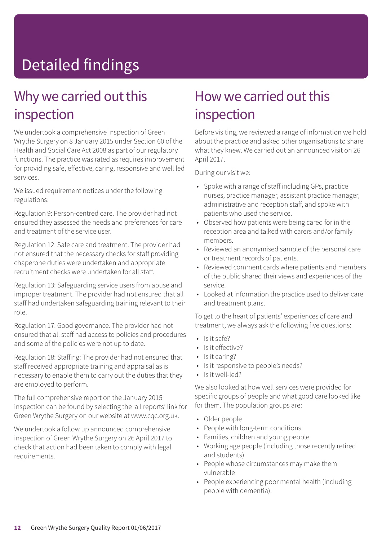# Detailed findings

### Why we carried out this inspection

We undertook a comprehensive inspection of Green Wrythe Surgery on 8 January 2015 under Section 60 of the Health and Social Care Act 2008 as part of our regulatory functions. The practice was rated as requires improvement for providing safe, effective, caring, responsive and well led services.

We issued requirement notices under the following regulations:

Regulation 9: Person-centred care. The provider had not ensured they assessed the needs and preferences for care and treatment of the service user.

Regulation 12: Safe care and treatment. The provider had not ensured that the necessary checks for staff providing chaperone duties were undertaken and appropriate recruitment checks were undertaken for all staff.

Regulation 13: Safeguarding service users from abuse and improper treatment. The provider had not ensured that all staff had undertaken safeguarding training relevant to their role.

Regulation 17: Good governance. The provider had not ensured that all staff had access to policies and procedures and some of the policies were not up to date.

Regulation 18: Staffing: The provider had not ensured that staff received appropriate training and appraisal as is necessary to enable them to carry out the duties that they are employed to perform.

The full comprehensive report on the January 2015 inspection can be found by selecting the 'all reports' link for Green Wrythe Surgery on our website at www.cqc.org.uk.

We undertook a follow up announced comprehensive inspection of Green Wrythe Surgery on 26 April 2017 to check that action had been taken to comply with legal requirements.

### How we carried out this inspection

Before visiting, we reviewed a range of information we hold about the practice and asked other organisations to share what they knew. We carried out an announced visit on 26 April 2017.

During our visit we:

- Spoke with a range of staff including GPs, practice nurses, practice manager, assistant practice manager, administrative and reception staff, and spoke with patients who used the service.
- Observed how patients were being cared for in the reception area and talked with carers and/or family members.
- Reviewed an anonymised sample of the personal care or treatment records of patients.
- Reviewed comment cards where patients and members of the public shared their views and experiences of the service.
- Looked at information the practice used to deliver care and treatment plans.

To get to the heart of patients' experiences of care and treatment, we always ask the following five questions:

- Is it safe?
- Is it effective?
- Is it caring?
- Is it responsive to people's needs?
- Is it well-led?

We also looked at how well services were provided for specific groups of people and what good care looked like for them. The population groups are:

- Older people
- People with long-term conditions
- Families, children and young people
- Working age people (including those recently retired and students)
- People whose circumstances may make them vulnerable
- People experiencing poor mental health (including people with dementia).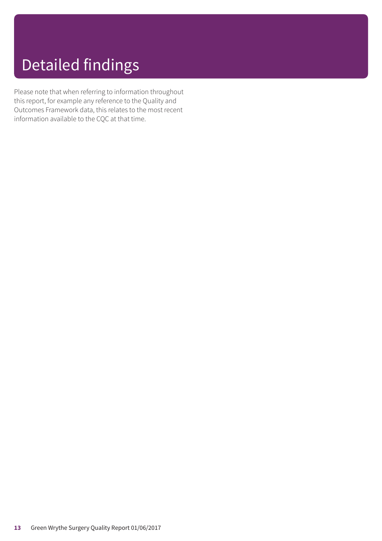# Detailed findings

Please note that when referring to information throughout this report, for example any reference to the Quality and Outcomes Framework data, this relates to the most recent information available to the CQC at that time.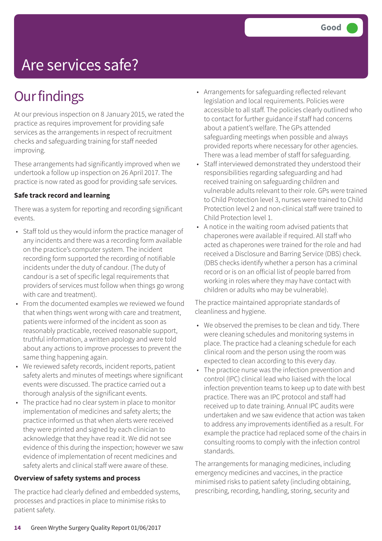# Are services safe?

## **Our findings**

At our previous inspection on 8 January 2015, we rated the practice as requires improvement for providing safe services as the arrangements in respect of recruitment checks and safeguarding training for staff needed improving.

These arrangements had significantly improved when we undertook a follow up inspection on 26 April 2017. The practice is now rated as good for providing safe services.

### **Safe track record and learning**

There was a system for reporting and recording significant events.

- Staff told us they would inform the practice manager of any incidents and there was a recording form available on the practice's computer system. The incident recording form supported the recording of notifiable incidents under the duty of candour. (The duty of candour is a set of specific legal requirements that providers of services must follow when things go wrong with care and treatment).
- From the documented examples we reviewed we found that when things went wrong with care and treatment, patients were informed of the incident as soon as reasonably practicable, received reasonable support, truthful information, a written apology and were told about any actions to improve processes to prevent the same thing happening again.
- We reviewed safety records, incident reports, patient safety alerts and minutes of meetings where significant events were discussed. The practice carried out a thorough analysis of the significant events.
- The practice had no clear system in place to monitor implementation of medicines and safety alerts; the practice informed us that when alerts were received they were printed and signed by each clinician to acknowledge that they have read it. We did not see evidence of this during the inspection; however we saw evidence of implementation of recent medicines and safety alerts and clinical staff were aware of these.

### **Overview of safety systems and process**

The practice had clearly defined and embedded systems, processes and practices in place to minimise risks to patient safety.

- Arrangements for safeguarding reflected relevant legislation and local requirements. Policies were accessible to all staff. The policies clearly outlined who to contact for further guidance if staff had concerns about a patient's welfare. The GPs attended safeguarding meetings when possible and always provided reports where necessary for other agencies. There was a lead member of staff for safeguarding.
- Staff interviewed demonstrated they understood their responsibilities regarding safeguarding and had received training on safeguarding children and vulnerable adults relevant to their role. GPs were trained to Child Protection level 3, nurses were trained to Child Protection level 2 and non-clinical staff were trained to Child Protection level 1.
- A notice in the waiting room advised patients that chaperones were available if required. All staff who acted as chaperones were trained for the role and had received a Disclosure and Barring Service (DBS) check. (DBS checks identify whether a person has a criminal record or is on an official list of people barred from working in roles where they may have contact with children or adults who may be vulnerable).

The practice maintained appropriate standards of cleanliness and hygiene.

- We observed the premises to be clean and tidy. There were cleaning schedules and monitoring systems in place. The practice had a cleaning schedule for each clinical room and the person using the room was expected to clean according to this every day.
- The practice nurse was the infection prevention and control (IPC) clinical lead who liaised with the local infection prevention teams to keep up to date with best practice. There was an IPC protocol and staff had received up to date training. Annual IPC audits were undertaken and we saw evidence that action was taken to address any improvements identified as a result. For example the practice had replaced some of the chairs in consulting rooms to comply with the infection control standards.

The arrangements for managing medicines, including emergency medicines and vaccines, in the practice minimised risks to patient safety (including obtaining, prescribing, recording, handling, storing, security and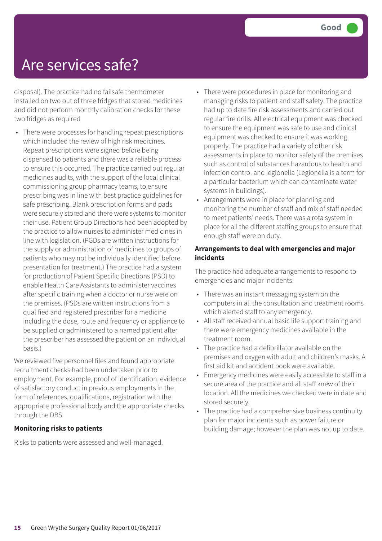## Are services safe?

disposal). The practice had no failsafe thermometer installed on two out of three fridges that stored medicines and did not perform monthly calibration checks for these two fridges as required

• There were processes for handling repeat prescriptions which included the review of high risk medicines. Repeat prescriptions were signed before being dispensed to patients and there was a reliable process to ensure this occurred. The practice carried out regular medicines audits, with the support of the local clinical commissioning group pharmacy teams, to ensure prescribing was in line with best practice guidelines for safe prescribing. Blank prescription forms and pads were securely stored and there were systems to monitor their use. Patient Group Directions had been adopted by the practice to allow nurses to administer medicines in line with legislation. (PGDs are written instructions for the supply or administration of medicines to groups of patients who may not be individually identified before presentation for treatment.) The practice had a system for production of Patient Specific Directions (PSD) to enable Health Care Assistants to administer vaccines after specific training when a doctor or nurse were on the premises. (PSDs are written instructions from a qualified and registered prescriber for a medicine including the dose, route and frequency or appliance to be supplied or administered to a named patient after the prescriber has assessed the patient on an individual basis.)

We reviewed five personnel files and found appropriate recruitment checks had been undertaken prior to employment. For example, proof of identification, evidence of satisfactory conduct in previous employments in the form of references, qualifications, registration with the appropriate professional body and the appropriate checks through the DBS.

### **Monitoring risks to patients**

Risks to patients were assessed and well-managed.

- There were procedures in place for monitoring and managing risks to patient and staff safety. The practice had up to date fire risk assessments and carried out regular fire drills. All electrical equipment was checked to ensure the equipment was safe to use and clinical equipment was checked to ensure it was working properly. The practice had a variety of other risk assessments in place to monitor safety of the premises such as control of substances hazardous to health and infection control and legionella (Legionella is a term for a particular bacterium which can contaminate water systems in buildings).
- Arrangements were in place for planning and monitoring the number of staff and mix of staff needed to meet patients' needs. There was a rota system in place for all the different staffing groups to ensure that enough staff were on duty.

### **Arrangements to deal with emergencies and major incidents**

The practice had adequate arrangements to respond to emergencies and major incidents.

- There was an instant messaging system on the computers in all the consultation and treatment rooms which alerted staff to any emergency.
- All staff received annual basic life support training and there were emergency medicines available in the treatment room.
- The practice had a defibrillator available on the premises and oxygen with adult and children's masks. A first aid kit and accident book were available.
- Emergency medicines were easily accessible to staff in a secure area of the practice and all staff knew of their location. All the medicines we checked were in date and stored securely.
- The practice had a comprehensive business continuity plan for major incidents such as power failure or building damage; however the plan was not up to date.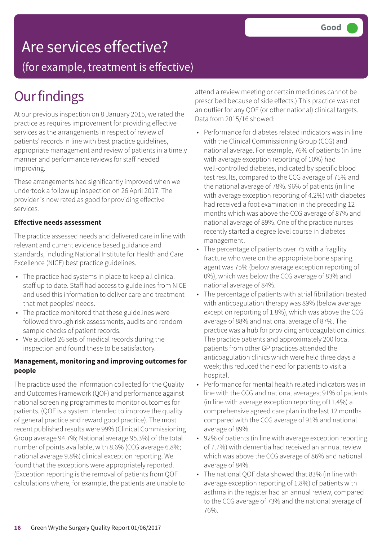## Are services effective?

(for example, treatment is effective)

## **Our findings**

At our previous inspection on 8 January 2015, we rated the practice as requires improvement for providing effective services as the arrangements in respect of review of patients' records in line with best practice guidelines, appropriate management and review of patients in a timely manner and performance reviews for staff needed improving.

These arrangements had significantly improved when we undertook a follow up inspection on 26 April 2017. The provider is now rated as good for providing effective services.

### **Effective needs assessment**

The practice assessed needs and delivered care in line with relevant and current evidence based guidance and standards, including National Institute for Health and Care Excellence (NICE) best practice guidelines.

- The practice had systems in place to keep all clinical staff up to date. Staff had access to guidelines from NICE and used this information to deliver care and treatment that met peoples' needs.
- The practice monitored that these guidelines were followed through risk assessments, audits and random sample checks of patient records.
- We audited 26 sets of medical records during the inspection and found these to be satisfactory.

#### **Management, monitoring and improving outcomes for people**

The practice used the information collected for the Quality and Outcomes Framework (QOF) and performance against national screening programmes to monitor outcomes for patients. (QOF is a system intended to improve the quality of general practice and reward good practice). The most recent published results were 99% (Clinical Commissioning Group average 94.7%; National average 95.3%) of the total number of points available, with 8.6% (CCG average 6.8%; national average 9.8%) clinical exception reporting. We found that the exceptions were appropriately reported. (Exception reporting is the removal of patients from QOF calculations where, for example, the patients are unable to

attend a review meeting or certain medicines cannot be prescribed because of side effects.) This practice was not an outlier for any QOF (or other national) clinical targets. Data from 2015/16 showed:

- Performance for diabetes related indicators was in line with the Clinical Commissioning Group (CCG) and national average. For example, 76% of patients (in line with average exception reporting of 10%) had well-controlled diabetes, indicated by specific blood test results, compared to the CCG average of 75% and the national average of 78%. 96% of patients (in line with average exception reporting of 4.2%) with diabetes had received a foot examination in the preceding 12 months which was above the CCG average of 87% and national average of 89%. One of the practice nurses recently started a degree level course in diabetes management.
- The percentage of patients over 75 with a fragility fracture who were on the appropriate bone sparing agent was 75% (below average exception reporting of 0%), which was below the CCG average of 83% and national average of 84%.
- The percentage of patients with atrial fibrillation treated with anticoagulation therapy was 89% (below average exception reporting of 1.8%), which was above the CCG average of 88% and national average of 87%. The practice was a hub for providing anticoagulation clinics. The practice patients and approximately 200 local patients from other GP practices attended the anticoagulation clinics which were held three days a week; this reduced the need for patients to visit a hospital.
- Performance for mental health related indicators was in line with the CCG and national averages; 91% of patients (in line with average exception reporting of11.4%) a comprehensive agreed care plan in the last 12 months compared with the CCG average of 91% and national average of 89%.
- 92% of patients (in line with average exception reporting of 7.7%) with dementia had received an annual review which was above the CCG average of 86% and national average of 84%.
- The national QOF data showed that 83% (in line with average exception reporting of 1.8%) of patients with asthma in the register had an annual review, compared to the CCG average of 73% and the national average of 76%.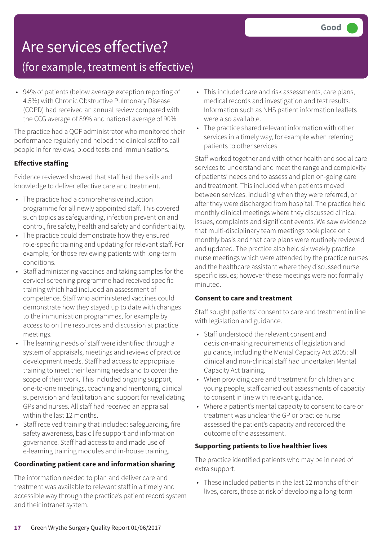# Are services effective?

### (for example, treatment is effective)

• 94% of patients (below average exception reporting of 4.5%) with Chronic Obstructive Pulmonary Disease (COPD) had received an annual review compared with the CCG average of 89% and national average of 90%.

The practice had a QOF administrator who monitored their performance regularly and helped the clinical staff to call people in for reviews, blood tests and immunisations.

### **Effective staffing**

Evidence reviewed showed that staff had the skills and knowledge to deliver effective care and treatment.

- The practice had a comprehensive induction programme for all newly appointed staff. This covered such topics as safeguarding, infection prevention and control, fire safety, health and safety and confidentiality.
- The practice could demonstrate how they ensured role-specific training and updating for relevant staff. For example, for those reviewing patients with long-term conditions.
- Staff administering vaccines and taking samples for the cervical screening programme had received specific training which had included an assessment of competence. Staff who administered vaccines could demonstrate how they stayed up to date with changes to the immunisation programmes, for example by access to on line resources and discussion at practice meetings.
- The learning needs of staff were identified through a system of appraisals, meetings and reviews of practice development needs. Staff had access to appropriate training to meet their learning needs and to cover the scope of their work. This included ongoing support, one-to-one meetings, coaching and mentoring, clinical supervision and facilitation and support for revalidating GPs and nurses. All staff had received an appraisal within the last 12 months.
- Staff received training that included: safeguarding, fire safety awareness, basic life support and information governance. Staff had access to and made use of e-learning training modules and in-house training.

### **Coordinating patient care and information sharing**

The information needed to plan and deliver care and treatment was available to relevant staff in a timely and accessible way through the practice's patient record system and their intranet system.

- This included care and risk assessments, care plans, medical records and investigation and test results. Information such as NHS patient information leaflets were also available.
- The practice shared relevant information with other services in a timely way, for example when referring patients to other services.

Staff worked together and with other health and social care services to understand and meet the range and complexity of patients' needs and to assess and plan on-going care and treatment. This included when patients moved between services, including when they were referred, or after they were discharged from hospital. The practice held monthly clinical meetings where they discussed clinical issues, complaints and significant events. We saw evidence that multi-disciplinary team meetings took place on a monthly basis and that care plans were routinely reviewed and updated. The practice also held six weekly practice nurse meetings which were attended by the practice nurses and the healthcare assistant where they discussed nurse specific issues; however these meetings were not formally minuted.

### **Consent to care and treatment**

Staff sought patients' consent to care and treatment in line with legislation and guidance.

- Staff understood the relevant consent and decision-making requirements of legislation and guidance, including the Mental Capacity Act 2005; all clinical and non-clinical staff had undertaken Mental Capacity Act training.
- When providing care and treatment for children and young people, staff carried out assessments of capacity to consent in line with relevant guidance.
- Where a patient's mental capacity to consent to care or treatment was unclear the GP or practice nurse assessed the patient's capacity and recorded the outcome of the assessment.

### **Supporting patients to live healthier lives**

The practice identified patients who may be in need of extra support.

• These included patients in the last 12 months of their lives, carers, those at risk of developing a long-term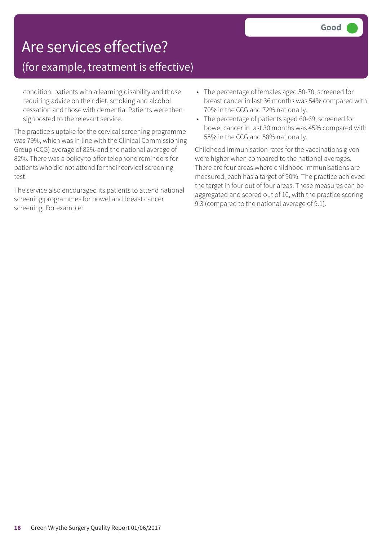# Are services effective?

### (for example, treatment is effective)

condition, patients with a learning disability and those requiring advice on their diet, smoking and alcohol cessation and those with dementia. Patients were then signposted to the relevant service.

The practice's uptake for the cervical screening programme was 79%, which was in line with the Clinical Commissioning Group (CCG) average of 82% and the national average of 82%. There was a policy to offer telephone reminders for patients who did not attend for their cervical screening test.

The service also encouraged its patients to attend national screening programmes for bowel and breast cancer screening. For example:

- The percentage of females aged 50-70, screened for breast cancer in last 36 months was 54% compared with 70% in the CCG and 72% nationally.
- The percentage of patients aged 60-69, screened for bowel cancer in last 30 months was 45% compared with 55% in the CCG and 58% nationally.

Childhood immunisation rates for the vaccinations given were higher when compared to the national averages. There are four areas where childhood immunisations are measured; each has a target of 90%. The practice achieved the target in four out of four areas. These measures can be aggregated and scored out of 10, with the practice scoring 9.3 (compared to the national average of 9.1).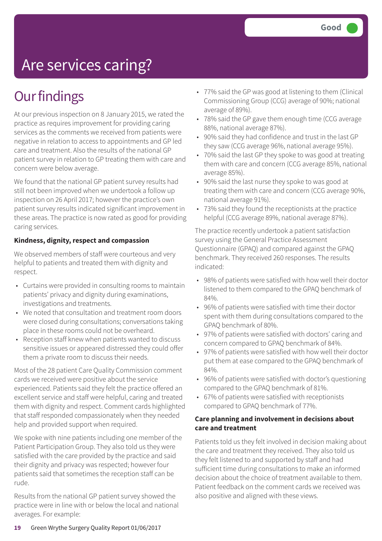# Are services caring?

## **Our findings**

At our previous inspection on 8 January 2015, we rated the practice as requires improvement for providing caring services as the comments we received from patients were negative in relation to access to appointments and GP led care and treatment. Also the results of the national GP patient survey in relation to GP treating them with care and concern were below average.

We found that the national GP patient survey results had still not been improved when we undertook a follow up inspection on 26 April 2017; however the practice's own patient survey results indicated significant improvement in these areas. The practice is now rated as good for providing caring services.

### **Kindness, dignity, respect and compassion**

We observed members of staff were courteous and very helpful to patients and treated them with dignity and respect.

- Curtains were provided in consulting rooms to maintain patients' privacy and dignity during examinations, investigations and treatments.
- We noted that consultation and treatment room doors were closed during consultations; conversations taking place in these rooms could not be overheard.
- Reception staff knew when patients wanted to discuss sensitive issues or appeared distressed they could offer them a private room to discuss their needs.

Most of the 28 patient Care Quality Commission comment cards we received were positive about the service experienced. Patients said they felt the practice offered an excellent service and staff were helpful, caring and treated them with dignity and respect. Comment cards highlighted that staff responded compassionately when they needed help and provided support when required.

We spoke with nine patients including one member of the Patient Participation Group. They also told us they were satisfied with the care provided by the practice and said their dignity and privacy was respected; however four patients said that sometimes the reception staff can be rude.

Results from the national GP patient survey showed the practice were in line with or below the local and national averages. For example:

- 77% said the GP was good at listening to them (Clinical Commissioning Group (CCG) average of 90%; national average of 89%).
- 78% said the GP gave them enough time (CCG average 88%, national average 87%).
- 90% said they had confidence and trust in the last GP they saw (CCG average 96%, national average 95%).
- 70% said the last GP they spoke to was good at treating them with care and concern (CCG average 85%, national average 85%).
- 90% said the last nurse they spoke to was good at treating them with care and concern (CCG average 90%, national average 91%).
- 73% said they found the receptionists at the practice helpful (CCG average 89%, national average 87%).

The practice recently undertook a patient satisfaction survey using the General Practice Assessment Questionnaire (GPAQ) and compared against the GPAQ benchmark. They received 260 responses. The results indicated:

- 98% of patients were satisfied with how well their doctor listened to them compared to the GPAQ benchmark of 84%.
- 96% of patients were satisfied with time their doctor spent with them during consultations compared to the GPAQ benchmark of 80%.
- 97% of patients were satisfied with doctors' caring and concern compared to GPAQ benchmark of 84%.
- 97% of patients were satisfied with how well their doctor put them at ease compared to the GPAQ benchmark of 84%.
- 96% of patients were satisfied with doctor's questioning compared to the GPAQ benchmark of 81%.
- 67% of patients were satisfied with receptionists compared to GPAQ benchmark of 77%.

### **Care planning and involvement in decisions about care and treatment**

Patients told us they felt involved in decision making about the care and treatment they received. They also told us they felt listened to and supported by staff and had sufficient time during consultations to make an informed decision about the choice of treatment available to them. Patient feedback on the comment cards we received was also positive and aligned with these views.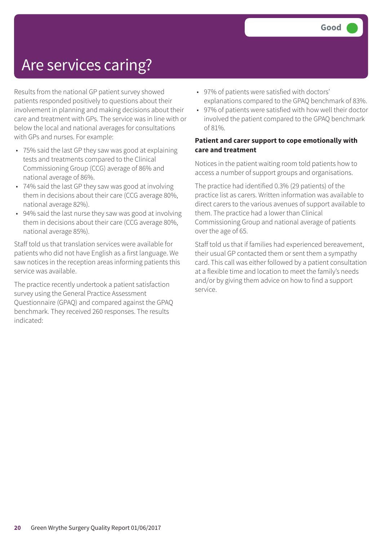## Are services caring?

Results from the national GP patient survey showed patients responded positively to questions about their involvement in planning and making decisions about their care and treatment with GPs. The service was in line with or below the local and national averages for consultations with GPs and nurses. For example:

- 75% said the last GP they saw was good at explaining tests and treatments compared to the Clinical Commissioning Group (CCG) average of 86% and national average of 86%.
- 74% said the last GP they saw was good at involving them in decisions about their care (CCG average 80%, national average 82%).
- 94% said the last nurse they saw was good at involving them in decisions about their care (CCG average 80%, national average 85%).

Staff told us that translation services were available for patients who did not have English as a first language. We saw notices in the reception areas informing patients this service was available.

The practice recently undertook a patient satisfaction survey using the General Practice Assessment Questionnaire (GPAQ) and compared against the GPAQ benchmark. They received 260 responses. The results indicated:

- 97% of patients were satisfied with doctors' explanations compared to the GPAQ benchmark of 83%.
- 97% of patients were satisfied with how well their doctor involved the patient compared to the GPAQ benchmark of 81%.

### **Patient and carer support to cope emotionally with care and treatment**

Notices in the patient waiting room told patients how to access a number of support groups and organisations.

The practice had identified 0.3% (29 patients) of the practice list as carers. Written information was available to direct carers to the various avenues of support available to them. The practice had a lower than Clinical Commissioning Group and national average of patients over the age of 65.

Staff told us that if families had experienced bereavement, their usual GP contacted them or sent them a sympathy card. This call was either followed by a patient consultation at a flexible time and location to meet the family's needs and/or by giving them advice on how to find a support service.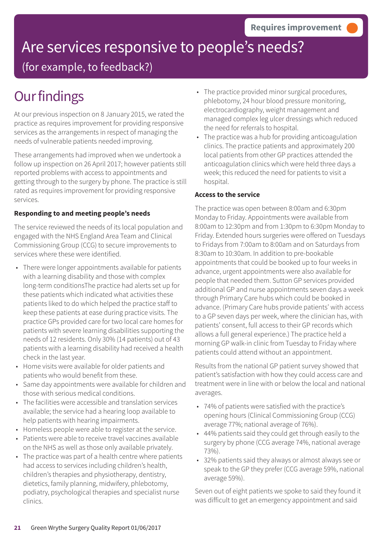# Are services responsive to people's needs?

(for example, to feedback?)

## **Our findings**

At our previous inspection on 8 January 2015, we rated the practice as requires improvement for providing responsive services as the arrangements in respect of managing the needs of vulnerable patients needed improving.

These arrangements had improved when we undertook a follow up inspection on 26 April 2017; however patients still reported problems with access to appointments and getting through to the surgery by phone. The practice is still rated as requires improvement for providing responsive services.

### **Responding to and meeting people's needs**

The service reviewed the needs of its local population and engaged with the NHS England Area Team and Clinical Commissioning Group (CCG) to secure improvements to services where these were identified.

- There were longer appointments available for patients with a learning disability and those with complex long-term conditionsThe practice had alerts set up for these patients which indicated what activities these patients liked to do which helped the practice staff to keep these patients at ease during practice visits. The practice GPs provided care for two local care homes for patients with severe learning disabilities supporting the needs of 12 residents. Only 30% (14 patients) out of 43 patients with a learning disability had received a health check in the last year.
- Home visits were available for older patients and patients who would benefit from these.
- Same day appointments were available for children and those with serious medical conditions.
- The facilities were accessible and translation services available; the service had a hearing loop available to help patients with hearing impairments.
- Homeless people were able to register at the service.
- Patients were able to receive travel vaccines available on the NHS as well as those only available privately.
- The practice was part of a health centre where patients had access to services including children's health, children's therapies and physiotherapy, dentistry, dietetics, family planning, midwifery, phlebotomy, podiatry, psychological therapies and specialist nurse clinics.
- The practice provided minor surgical procedures, phlebotomy, 24 hour blood pressure monitoring, electrocardiography, weight management and managed complex leg ulcer dressings which reduced the need for referrals to hospital.
- The practice was a hub for providing anticoagulation clinics. The practice patients and approximately 200 local patients from other GP practices attended the anticoagulation clinics which were held three days a week; this reduced the need for patients to visit a hospital.

### **Access to the service**

The practice was open between 8:00am and 6:30pm Monday to Friday. Appointments were available from 8:00am to 12:30pm and from 1:30pm to 6:30pm Monday to Friday. Extended hours surgeries were offered on Tuesdays to Fridays from 7:00am to 8:00am and on Saturdays from 8:30am to 10:30am. In addition to pre-bookable appointments that could be booked up to four weeks in advance, urgent appointments were also available for people that needed them. Sutton GP services provided additional GP and nurse appointments seven days a week through Primary Care hubs which could be booked in advance. (Primary Care hubs provide patients' with access to a GP seven days per week, where the clinician has, with patients' consent, full access to their GP records which allows a full general experience.) The practice held a morning GP walk-in clinic from Tuesday to Friday where patients could attend without an appointment.

Results from the national GP patient survey showed that patient's satisfaction with how they could access care and treatment were in line with or below the local and national averages.

- 74% of patients were satisfied with the practice's opening hours (Clinical Commissioning Group (CCG) average 77%; national average of 76%).
- 44% patients said they could get through easily to the surgery by phone (CCG average 74%, national average 73%).
- 32% patients said they always or almost always see or speak to the GP they prefer (CCG average 59%, national average 59%).

Seven out of eight patients we spoke to said they found it was difficult to get an emergency appointment and said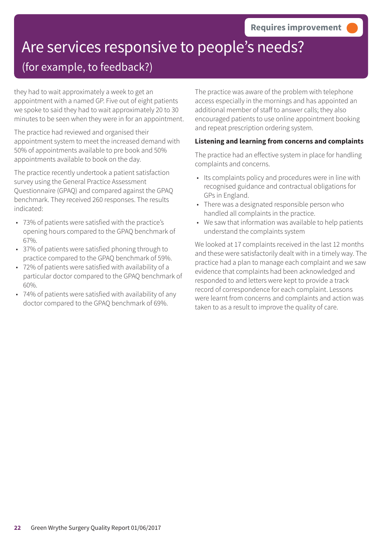# Are services responsive to people's needs?

### (for example, to feedback?)

they had to wait approximately a week to get an appointment with a named GP. Five out of eight patients we spoke to said they had to wait approximately 20 to 30 minutes to be seen when they were in for an appointment.

The practice had reviewed and organised their appointment system to meet the increased demand with 50% of appointments available to pre book and 50% appointments available to book on the day.

The practice recently undertook a patient satisfaction survey using the General Practice Assessment Questionnaire (GPAQ) and compared against the GPAQ benchmark. They received 260 responses. The results indicated:

- 73% of patients were satisfied with the practice's opening hours compared to the GPAQ benchmark of 67%.
- 37% of patients were satisfied phoning through to practice compared to the GPAQ benchmark of 59%.
- 72% of patients were satisfied with availability of a particular doctor compared to the GPAQ benchmark of 60%.
- 74% of patients were satisfied with availability of any doctor compared to the GPAQ benchmark of 69%.

The practice was aware of the problem with telephone access especially in the mornings and has appointed an additional member of staff to answer calls; they also encouraged patients to use online appointment booking and repeat prescription ordering system.

### **Listening and learning from concerns and complaints**

The practice had an effective system in place for handling complaints and concerns.

- Its complaints policy and procedures were in line with recognised guidance and contractual obligations for GPs in England.
- There was a designated responsible person who handled all complaints in the practice.
- We saw that information was available to help patients understand the complaints system

We looked at 17 complaints received in the last 12 months and these were satisfactorily dealt with in a timely way. The practice had a plan to manage each complaint and we saw evidence that complaints had been acknowledged and responded to and letters were kept to provide a track record of correspondence for each complaint. Lessons were learnt from concerns and complaints and action was taken to as a result to improve the quality of care.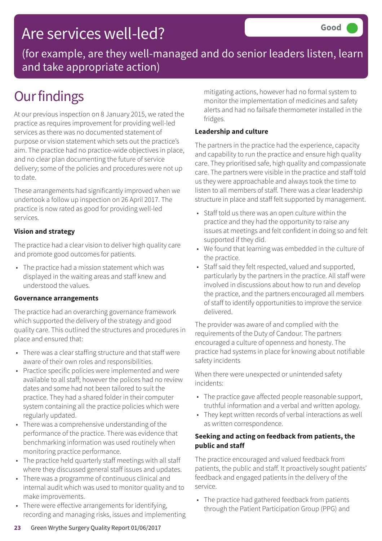### Are services well-led?

(for example, are they well-managed and do senior leaders listen, learn and take appropriate action)

## **Our findings**

At our previous inspection on 8 January 2015, we rated the practice as requires improvement for providing well-led services as there was no documented statement of purpose or vision statement which sets out the practice's aim. The practice had no practice-wide objectives in place, and no clear plan documenting the future of service delivery; some of the policies and procedures were not up to date.

These arrangements had significantly improved when we undertook a follow up inspection on 26 April 2017. The practice is now rated as good for providing well-led services.

### **Vision and strategy**

The practice had a clear vision to deliver high quality care and promote good outcomes for patients.

• The practice had a mission statement which was displayed in the waiting areas and staff knew and understood the values.

### **Governance arrangements**

The practice had an overarching governance framework which supported the delivery of the strategy and good quality care. This outlined the structures and procedures in place and ensured that:

- There was a clear staffing structure and that staff were aware of their own roles and responsibilities.
- Practice specific policies were implemented and were available to all staff; however the polices had no review dates and some had not been tailored to suit the practice. They had a shared folder in their computer system containing all the practice policies which were regularly updated.
- There was a comprehensive understanding of the performance of the practice. There was evidence that benchmarking information was used routinely when monitoring practice performance.
- The practice held quarterly staff meetings with all staff where they discussed general staff issues and updates.
- There was a programme of continuous clinical and internal audit which was used to monitor quality and to make improvements.
- There were effective arrangements for identifying, recording and managing risks, issues and implementing

mitigating actions, however had no formal system to monitor the implementation of medicines and safety alerts and had no failsafe thermometer installed in the fridges.

### **Leadership and culture**

The partners in the practice had the experience, capacity and capability to run the practice and ensure high quality care. They prioritised safe, high quality and compassionate care. The partners were visible in the practice and staff told us they were approachable and always took the time to listen to all members of staff. There was a clear leadership structure in place and staff felt supported by management.

- Staff told us there was an open culture within the practice and they had the opportunity to raise any issues at meetings and felt confident in doing so and felt supported if they did.
- We found that learning was embedded in the culture of the practice.
- Staff said they felt respected, valued and supported, particularly by the partners in the practice. All staff were involved in discussions about how to run and develop the practice, and the partners encouraged all members of staff to identify opportunities to improve the service delivered.

The provider was aware of and complied with the requirements of the Duty of Candour. The partners encouraged a culture of openness and honesty. The practice had systems in place for knowing about notifiable safety incidents

When there were unexpected or unintended safety incidents:

- The practice gave affected people reasonable support, truthful information and a verbal and written apology.
- They kept written records of verbal interactions as well as written correspondence.

### **Seeking and acting on feedback from patients, the public and staff**

The practice encouraged and valued feedback from patients, the public and staff. It proactively sought patients' feedback and engaged patients in the delivery of the service.

• The practice had gathered feedback from patients through the Patient Participation Group (PPG) and